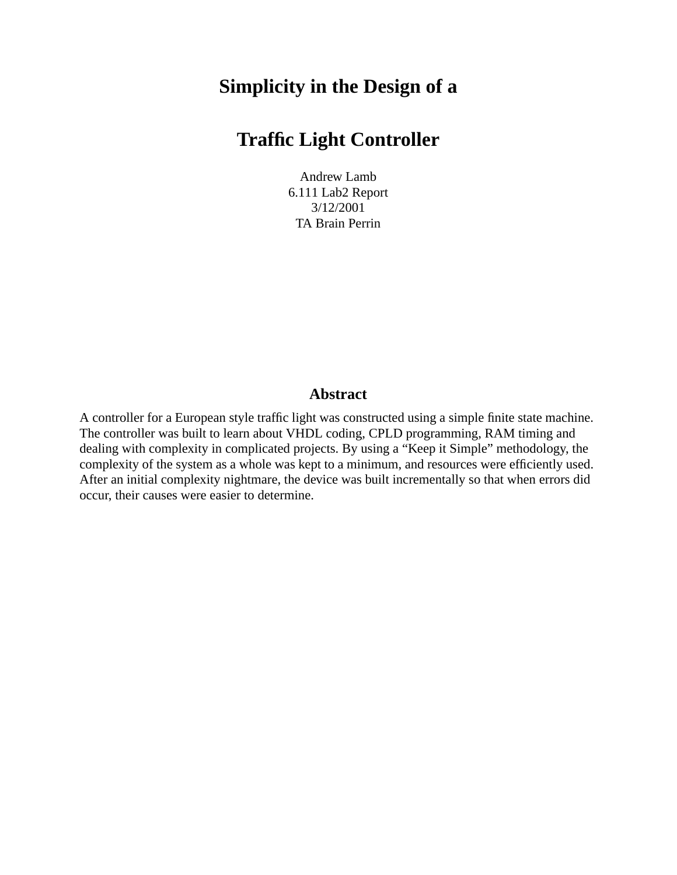# **Simplicity in the Design of a**

# **Traffic Light Controller**

Andrew Lamb 6.111 Lab2 Report 3/12/2001 TA Brain Perrin

### **Abstract**

<span id="page-0-0"></span>A controller for a European style traffic light was constructed using a simple finite state machine. The controller was built to learn about VHDL coding, CPLD programming, RAM timing and dealing with complexity in complicated projects. By using a "Keep it Simple" methodology, the complexity of the system as a whole was kept to a minimum, and resources were efficiently used. After an initial complexity nightmare, the device was built incrementally so that when errors did occur, their causes were easier to determine.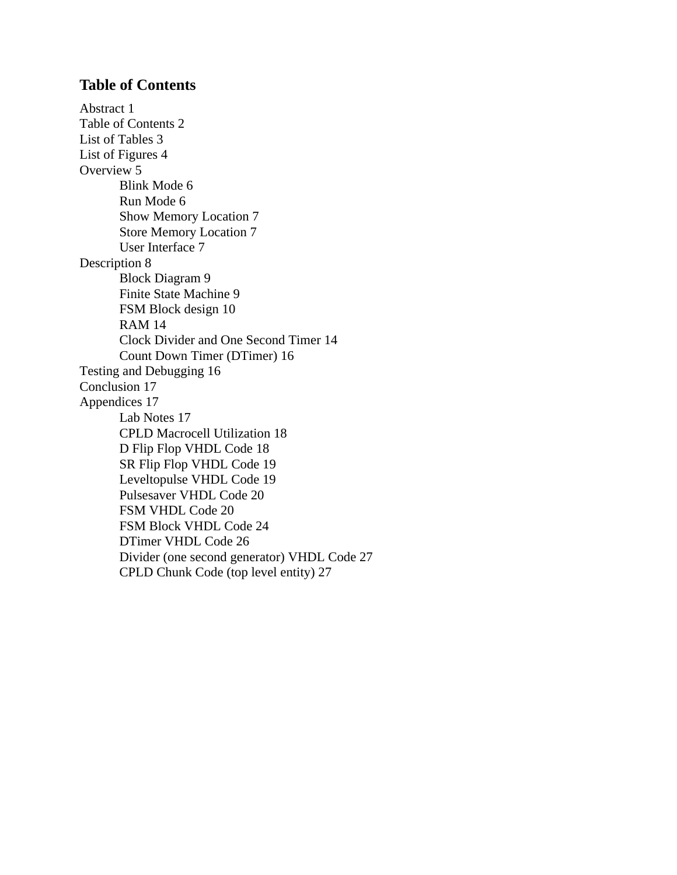## <span id="page-1-0"></span>**Table of Contents**

[Abstract 1](#page-0-0) [Table of Contents 2](#page-1-0) [List of Tables 3](#page-2-0) [List of Figures 4](#page-3-0) [Overview 5](#page-4-0) [Blink Mode 6](#page-5-0) [Run Mode 6](#page-5-1) [Show Memory Location 7](#page-6-0) [Store Memory Location 7](#page-6-1) [User Interface 7](#page-6-2) [Description 8](#page-7-0) [Block Diagram 9](#page-8-0) [Finite State Machine 9](#page-8-1) [FSM Block design 10](#page-9-0) [RAM 14](#page-13-0) [Clock Divider and One Second Timer 14](#page-13-1) [Count Down Timer \(DTimer\) 16](#page-15-0) [Testing and Debugging 16](#page-15-1) [Conclusion 17](#page-16-0) [Appendices 17](#page-16-1) [Lab Notes 17](#page-16-2) [CPLD Macrocell Utilization 18](#page-17-0) [D Flip Flop VHDL Code 18](#page-17-1) [SR Flip Flop VHDL Code 19](#page-18-0) [Leveltopulse VHDL Code 19](#page-18-1) [Pulsesaver VHDL Code 20](#page-19-0) [FSM VHDL Code 20](#page-19-1) [FSM Block VHDL Code 24](#page-23-0) [DTimer VHDL Code 26](#page-25-0) [Divider \(one second generator\) VHDL Code 27](#page-26-0) [CPLD Chunk Code \(top level entity\) 27](#page-26-1)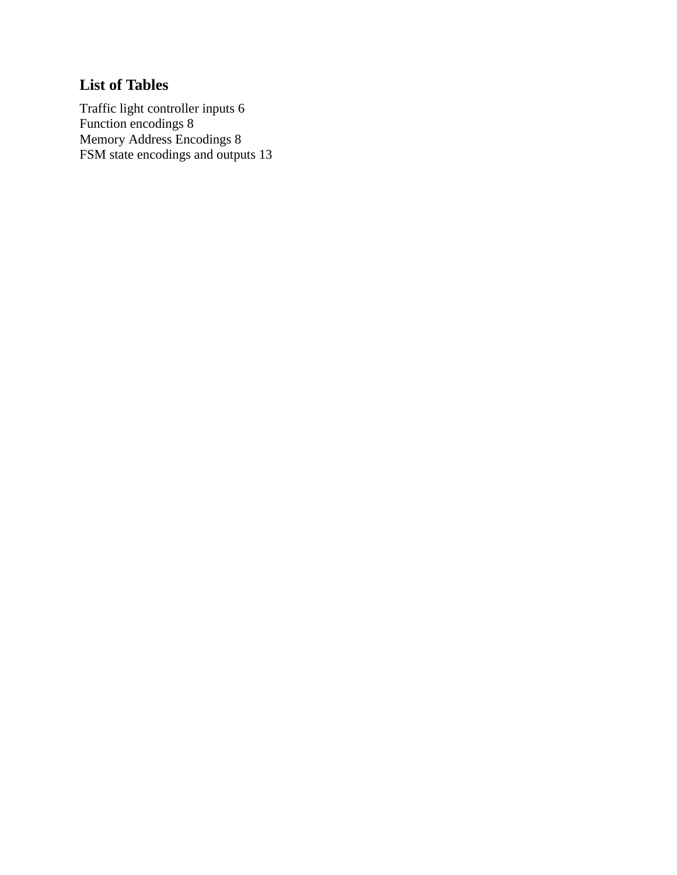## <span id="page-2-0"></span>**[List of Tables](#page-5-2)**

[Traffic light controller inputs 6](#page-5-2) [Function encodings 8](#page-7-1) [Memory Address Encodings 8](#page-7-2) [FSM state encodings and outputs 13](#page-12-0)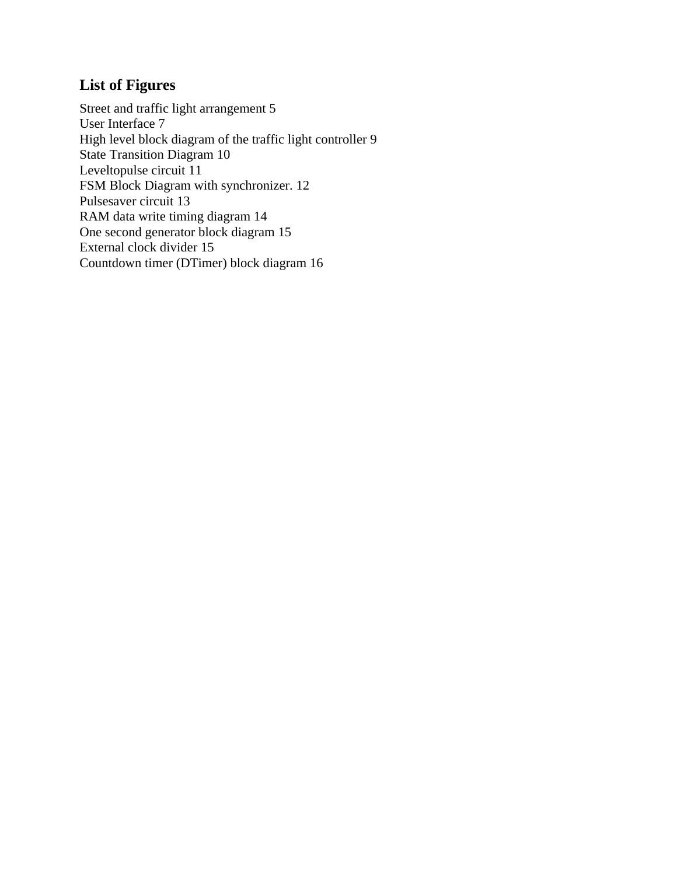## <span id="page-3-0"></span>**[List of Figures](#page-4-1)**

[Street and traffic light arrangement 5](#page-4-1) [User Interface 7](#page-6-3) [High level block diagram of the traffic light controller 9](#page-8-2) [State Transition Diagram 10](#page-9-1) [Leveltopulse circuit 11](#page-10-0) [FSM Block Diagram with synchronizer. 12](#page-11-0) [Pulsesaver circuit 13](#page-12-1) [RAM data write timing diagram 14](#page-13-2) [One second generator block diagram 15](#page-14-0) [External clock divider 15](#page-14-1) [Countdown timer \(DTimer\) block diagram 16](#page-15-2)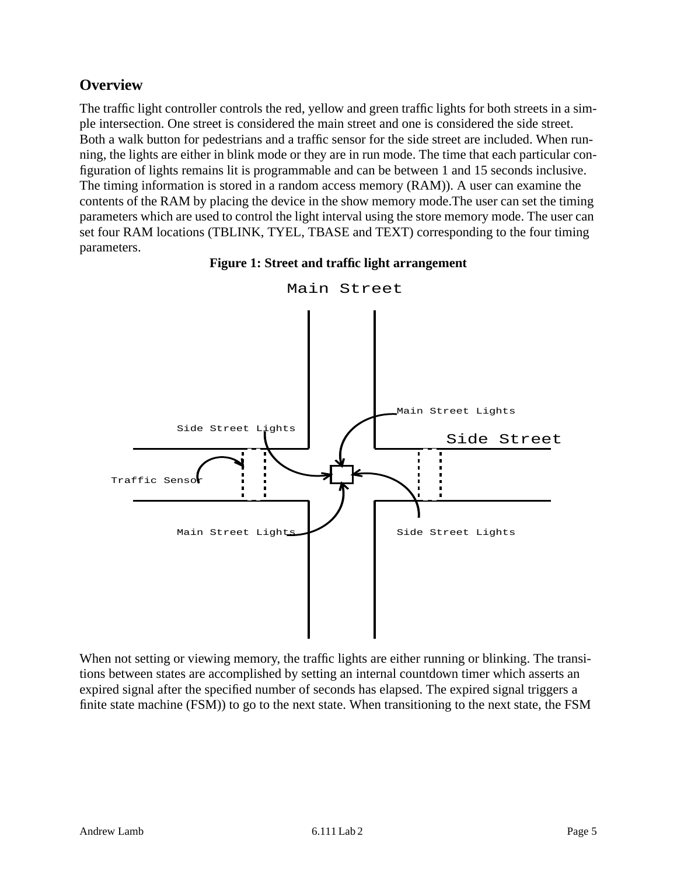## <span id="page-4-0"></span>**Overview**

The traffic light controller controls the red, yellow and green traffic lights for both streets in a simple intersection. One street is considered the main street and one is considered the side street. Both a walk button for pedestrians and a traffic sensor for the side street are included. When running, the lights are either in blink mode or they are in run mode. The time that each particular configuration of lights remains lit is programmable and can be between 1 and 15 seconds inclusive. The timing information is stored in a random access memory (RAM)). A user can examine the contents of the RAM by placing the device in the show memory mode.The user can set the timing parameters which are used to control the light interval using the store memory mode. The user can set four RAM locations (TBLINK, TYEL, TBASE and TEXT) corresponding to the four timing parameters.

#### **Figure 1: Street and traffic light arrangement**

<span id="page-4-1"></span>

Main Street

When not setting or viewing memory, the traffic lights are either running or blinking. The transitions between states are accomplished by setting an internal countdown timer which asserts an expired signal after the specified number of seconds has elapsed. The expired signal triggers a finite state machine (FSM)) to go to the next state. When transitioning to the next state, the FSM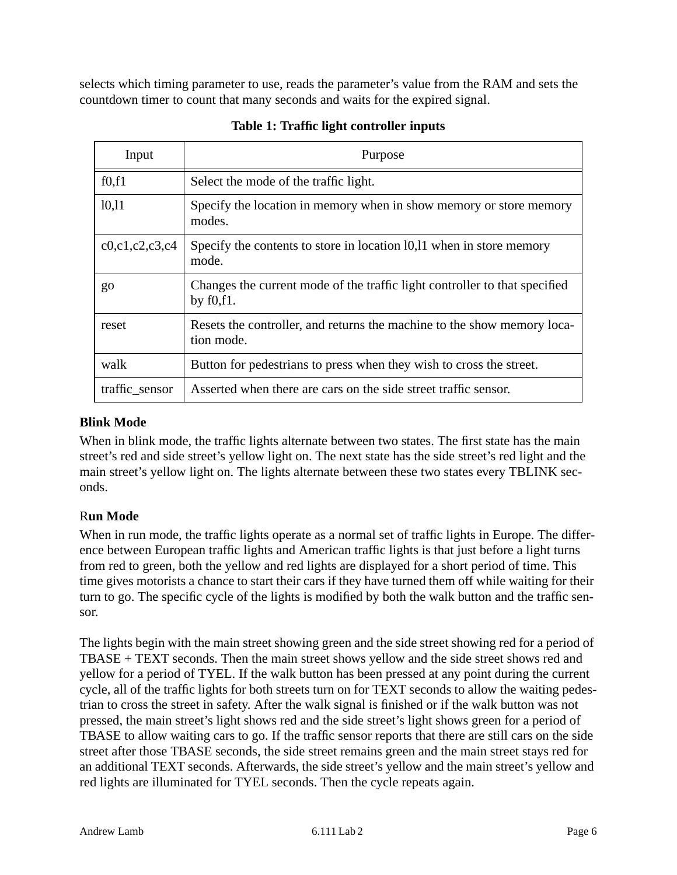selects which timing parameter to use, reads the parameter's value from the RAM and sets the countdown timer to count that many seconds and waits for the expired signal.

<span id="page-5-2"></span>

| Input              | Purpose                                                                                    |
|--------------------|--------------------------------------------------------------------------------------------|
| f0,f1              | Select the mode of the traffic light.                                                      |
| 10,11              | Specify the location in memory when in show memory or store memory<br>modes.               |
| c0, c1, c2, c3, c4 | Specify the contents to store in location 10,11 when in store memory<br>mode.              |
| go                 | Changes the current mode of the traffic light controller to that specified<br>by $f0,f1$ . |
| reset              | Resets the controller, and returns the machine to the show memory loca-<br>tion mode.      |
| walk               | Button for pedestrians to press when they wish to cross the street.                        |
| traffic_sensor     | Asserted when there are cars on the side street traffic sensor.                            |

## **Table 1: Traffic light controller inputs**

## <span id="page-5-0"></span>**Blink Mode**

When in blink mode, the traffic lights alternate between two states. The first state has the main street's red and side street's yellow light on. The next state has the side street's red light and the main street's yellow light on. The lights alternate between these two states every TBLINK seconds.

## <span id="page-5-1"></span>R**un Mode**

When in run mode, the traffic lights operate as a normal set of traffic lights in Europe. The difference between European traffic lights and American traffic lights is that just before a light turns from red to green, both the yellow and red lights are displayed for a short period of time. This time gives motorists a chance to start their cars if they have turned them off while waiting for their turn to go. The specific cycle of the lights is modified by both the walk button and the traffic sensor.

The lights begin with the main street showing green and the side street showing red for a period of TBASE + TEXT seconds. Then the main street shows yellow and the side street shows red and yellow for a period of TYEL. If the walk button has been pressed at any point during the current cycle, all of the traffic lights for both streets turn on for TEXT seconds to allow the waiting pedestrian to cross the street in safety. After the walk signal is finished or if the walk button was not pressed, the main street's light shows red and the side street's light shows green for a period of TBASE to allow waiting cars to go. If the traffic sensor reports that there are still cars on the side street after those TBASE seconds, the side street remains green and the main street stays red for an additional TEXT seconds. Afterwards, the side street's yellow and the main street's yellow and red lights are illuminated for TYEL seconds. Then the cycle repeats again.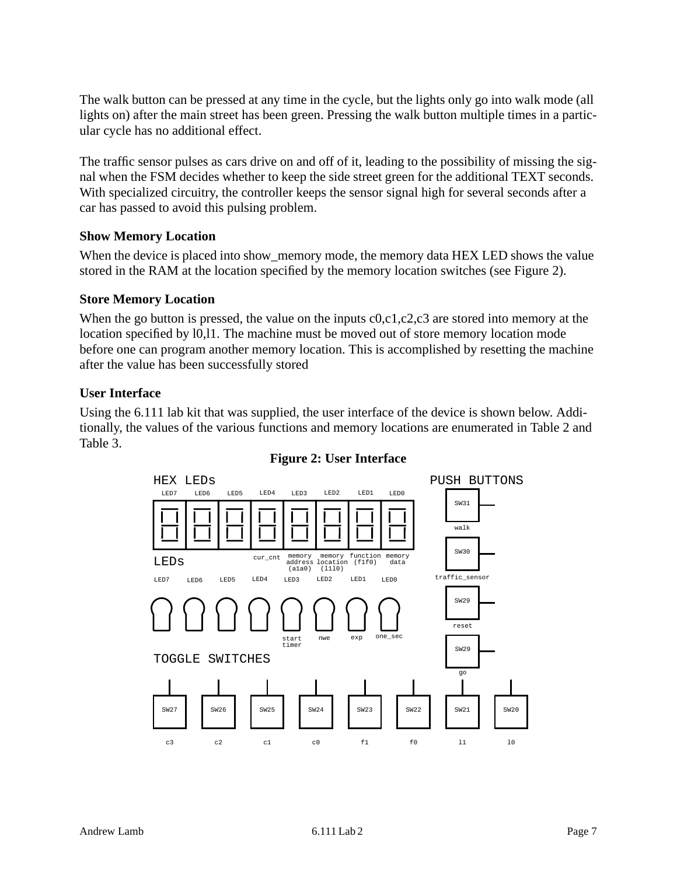The walk button can be pressed at any time in the cycle, but the lights only go into walk mode (all lights on) after the main street has been green. Pressing the walk button multiple times in a particular cycle has no additional effect.

The traffic sensor pulses as cars drive on and off of it, leading to the possibility of missing the signal when the FSM decides whether to keep the side street green for the additional TEXT seconds. With specialized circuitry, the controller keeps the sensor signal high for several seconds after a car has passed to avoid this pulsing problem.

#### <span id="page-6-0"></span>**Show Memory Location**

When the device is placed into show\_memory mode, the memory data HEX LED shows the value stored in the RAM at the location specified by the memory location switches (see Figure 2).

#### <span id="page-6-1"></span>**Store Memory Location**

When the go button is pressed, the value on the inputs  $c0, c1, c2, c3$  are stored into memory at the location specified by l0,l1. The machine must be moved out of store memory location mode before one can program another memory location. This is accomplished by resetting the machine after the value has been successfully stored

#### <span id="page-6-2"></span>**User Interface**

<span id="page-6-3"></span>Using the 6.111 lab kit that was supplied, the user interface of the device is shown below. Additionally, the values of the various functions and memory locations are enumerated in Table 2 and Table 3.



#### **Figure 2: User Interface**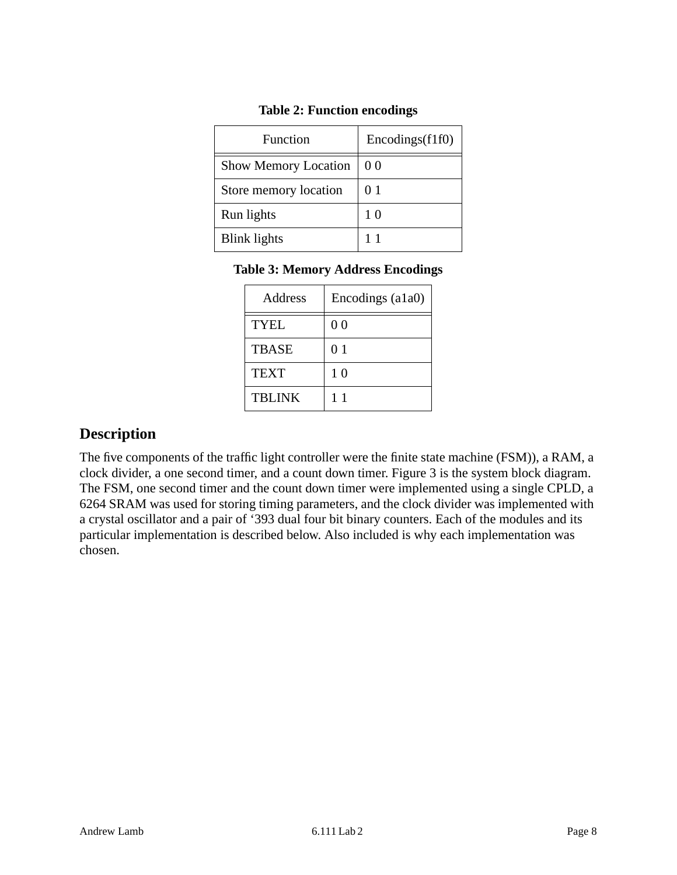<span id="page-7-1"></span>

| <b>Function</b>             | Encodings(f1f0) |
|-----------------------------|-----------------|
| <b>Show Memory Location</b> | 00              |
| Store memory location       | 01              |
| Run lights                  | 10              |
| <b>Blink lights</b>         | 11              |

### **Table 2: Function encodings**

### <span id="page-7-2"></span>**Table 3: Memory Address Encodings**

| Address       | Encodings (a1a0) |
|---------------|------------------|
| <b>TYEL</b>   | 0 <sub>0</sub>   |
| <b>TBASE</b>  | 0 <sub>1</sub>   |
| <b>TEXT</b>   | 1 <sub>0</sub>   |
| <b>TBLINK</b> | 11               |

## <span id="page-7-0"></span>**Description**

The five components of the traffic light controller were the finite state machine (FSM)), a RAM, a clock divider, a one second timer, and a count down timer. Figure 3 is the system block diagram. The FSM, one second timer and the count down timer were implemented using a single CPLD, a 6264 SRAM was used for storing timing parameters, and the clock divider was implemented with a crystal oscillator and a pair of '393 dual four bit binary counters. Each of the modules and its particular implementation is described below. Also included is why each implementation was chosen.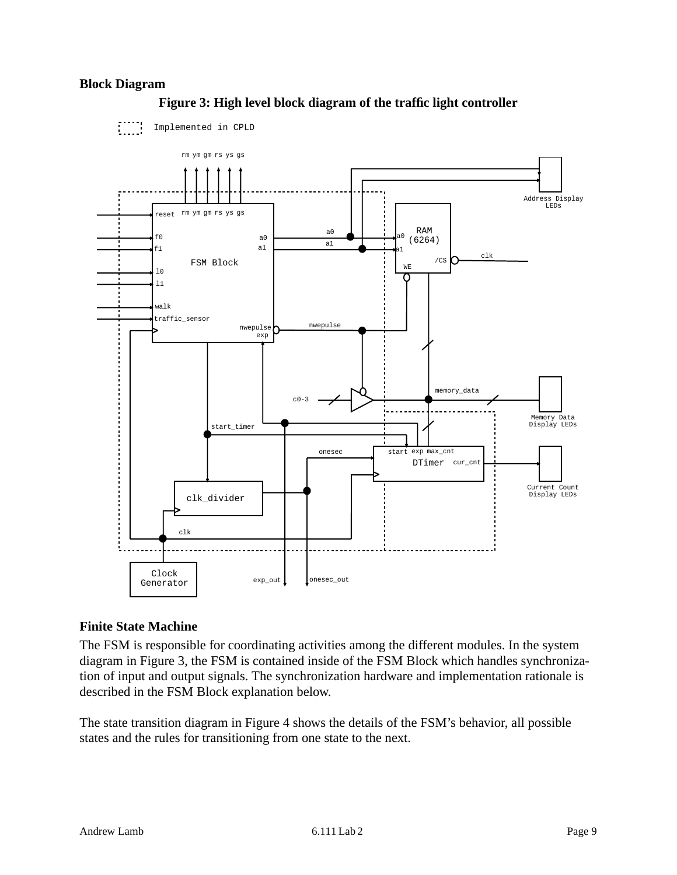#### <span id="page-8-2"></span><span id="page-8-0"></span>**Block Diagram**



### **Figure 3: High level block diagram of the traffic light controller**

#### <span id="page-8-1"></span>**Finite State Machine**

The FSM is responsible for coordinating activities among the different modules. In the system diagram in Figure 3, the FSM is contained inside of the FSM Block which handles synchronization of input and output signals. The synchronization hardware and implementation rationale is described in the FSM Block explanation below.

The state transition diagram in Figure 4 shows the details of the FSM's behavior, all possible states and the rules for transitioning from one state to the next.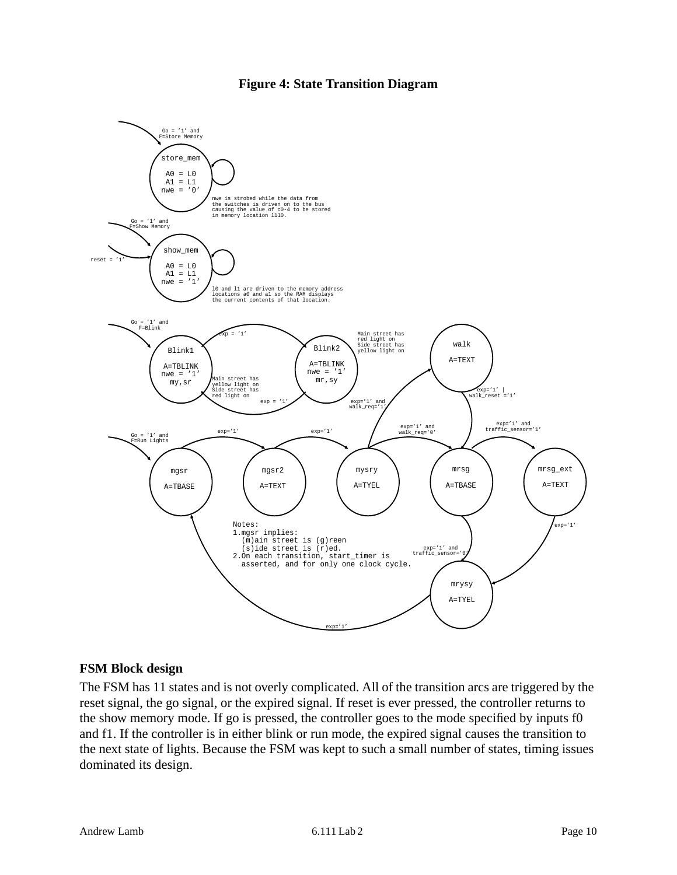#### **Figure 4: State Transition Diagram**

<span id="page-9-1"></span>

#### <span id="page-9-0"></span>**FSM Block design**

The FSM has 11 states and is not overly complicated. All of the transition arcs are triggered by the reset signal, the go signal, or the expired signal. If reset is ever pressed, the controller returns to the show memory mode. If go is pressed, the controller goes to the mode specified by inputs f0 and f1. If the controller is in either blink or run mode, the expired signal causes the transition to the next state of lights. Because the FSM was kept to such a small number of states, timing issues dominated its design.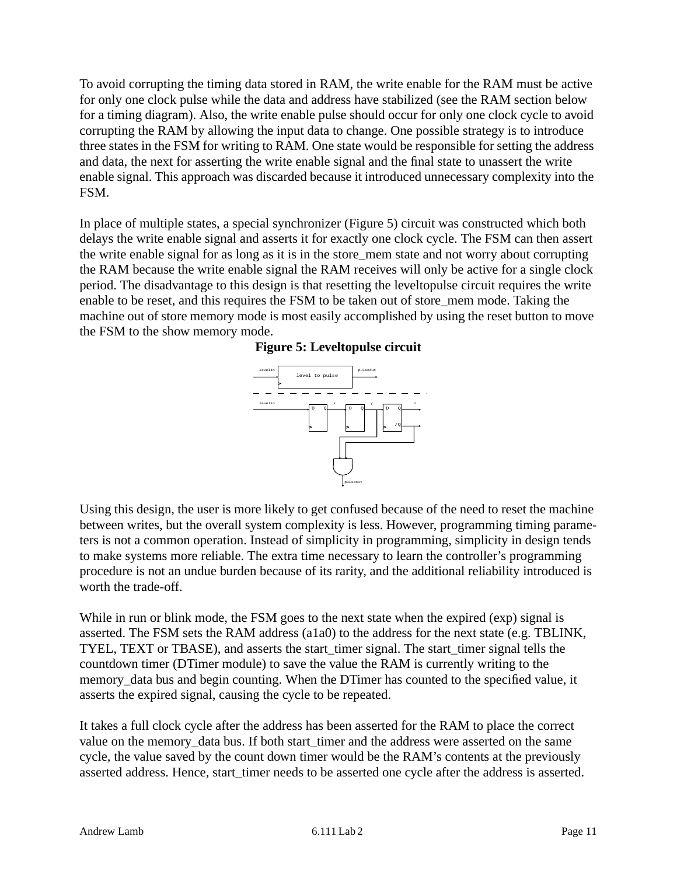To avoid corrupting the timing data stored in RAM, the write enable for the RAM must be active for only one clock pulse while the data and address have stabilized (see the RAM section below for a timing diagram). Also, the write enable pulse should occur for only one clock cycle to avoid corrupting the RAM by allowing the input data to change. One possible strategy is to introduce three states in the FSM for writing to RAM. One state would be responsible for setting the address and data, the next for asserting the write enable signal and the final state to unassert the write enable signal. This approach was discarded because it introduced unnecessary complexity into the FSM.

<span id="page-10-0"></span>In place of multiple states, a special synchronizer (Figure 5) circuit was constructed which both delays the write enable signal and asserts it for exactly one clock cycle. The FSM can then assert the write enable signal for as long as it is in the store\_mem state and not worry about corrupting the RAM because the write enable signal the RAM receives will only be active for a single clock period. The disadvantage to this design is that resetting the leveltopulse circuit requires the write enable to be reset, and this requires the FSM to be taken out of store\_mem mode. Taking the machine out of store memory mode is most easily accomplished by using the reset button to move the FSM to the show memory mode.

#### **Figure 5: Leveltopulse circuit**



Using this design, the user is more likely to get confused because of the need to reset the machine between writes, but the overall system complexity is less. However, programming timing parameters is not a common operation. Instead of simplicity in programming, simplicity in design tends to make systems more reliable. The extra time necessary to learn the controller's programming procedure is not an undue burden because of its rarity, and the additional reliability introduced is worth the trade-off.

While in run or blink mode, the FSM goes to the next state when the expired (exp) signal is asserted. The FSM sets the RAM address (a1a0) to the address for the next state (e.g. TBLINK, TYEL, TEXT or TBASE), and asserts the start\_timer signal. The start\_timer signal tells the countdown timer (DTimer module) to save the value the RAM is currently writing to the memory\_data bus and begin counting. When the DTimer has counted to the specified value, it asserts the expired signal, causing the cycle to be repeated.

It takes a full clock cycle after the address has been asserted for the RAM to place the correct value on the memory\_data bus. If both start\_timer and the address were asserted on the same cycle, the value saved by the count down timer would be the RAM's contents at the previously asserted address. Hence, start timer needs to be asserted one cycle after the address is asserted.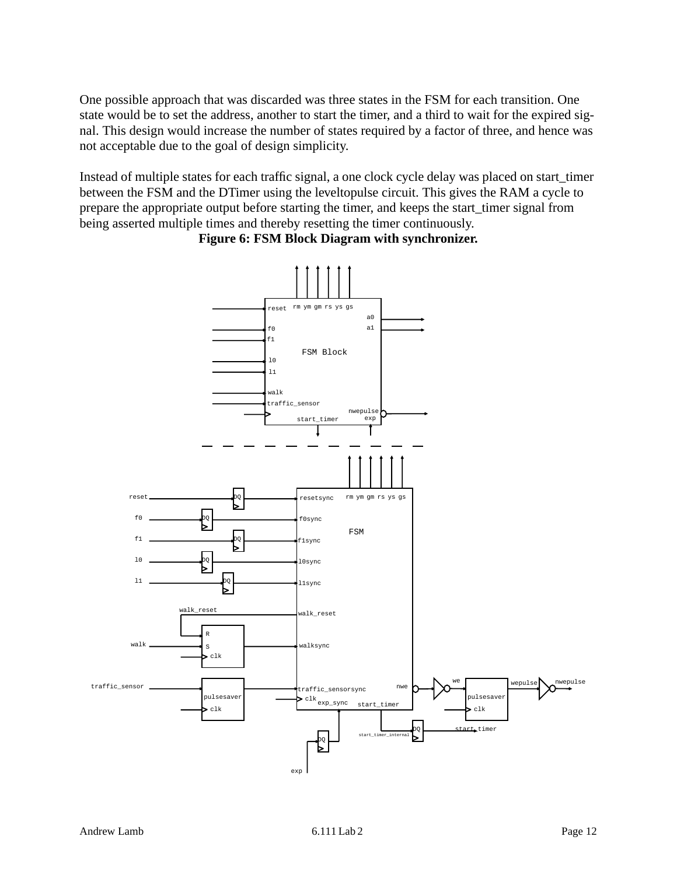One possible approach that was discarded was three states in the FSM for each transition. One state would be to set the address, another to start the timer, and a third to wait for the expired signal. This design would increase the number of states required by a factor of three, and hence was not acceptable due to the goal of design simplicity.

Instead of multiple states for each traffic signal, a one clock cycle delay was placed on start\_timer between the FSM and the DTimer using the leveltopulse circuit. This gives the RAM a cycle to prepare the appropriate output before starting the timer, and keeps the start\_timer signal from being asserted multiple times and thereby resetting the timer continuously.

<span id="page-11-0"></span>

**Figure 6: FSM Block Diagram with synchronizer.**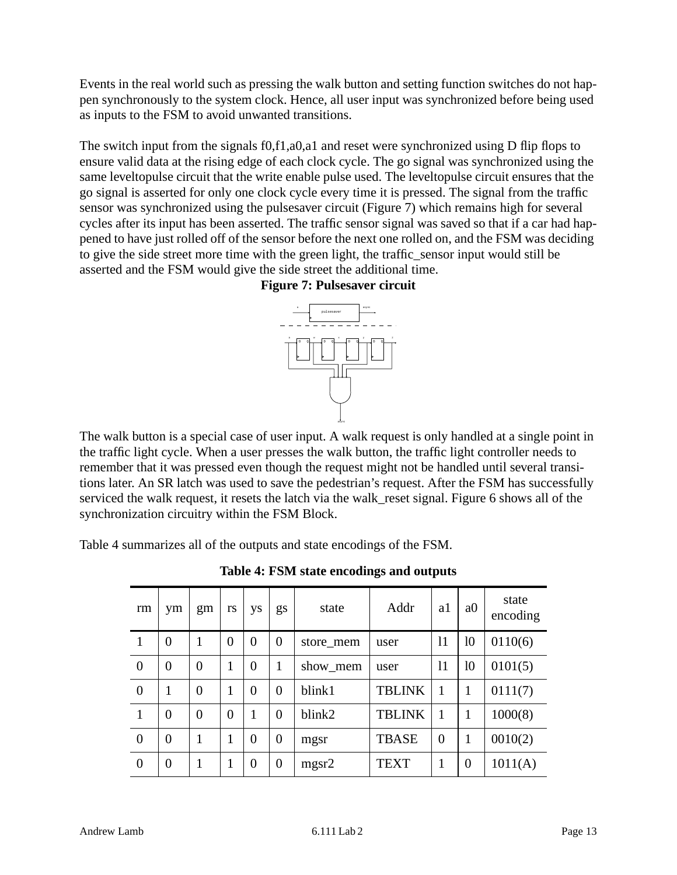Events in the real world such as pressing the walk button and setting function switches do not happen synchronously to the system clock. Hence, all user input was synchronized before being used as inputs to the FSM to avoid unwanted transitions.

<span id="page-12-1"></span>The switch input from the signals f0,f1,a0,a1 and reset were synchronized using D flip flops to ensure valid data at the rising edge of each clock cycle. The go signal was synchronized using the same leveltopulse circuit that the write enable pulse used. The leveltopulse circuit ensures that the go signal is asserted for only one clock cycle every time it is pressed. The signal from the traffic sensor was synchronized using the pulsesaver circuit (Figure 7) which remains high for several cycles after its input has been asserted. The traffic sensor signal was saved so that if a car had happened to have just rolled off of the sensor before the next one rolled on, and the FSM was deciding to give the side street more time with the green light, the traffic\_sensor input would still be asserted and the FSM would give the side street the additional time.





The walk button is a special case of user input. A walk request is only handled at a single point in the traffic light cycle. When a user presses the walk button, the traffic light controller needs to remember that it was pressed even though the request might not be handled until several transitions later. An SR latch was used to save the pedestrian's request. After the FSM has successfully serviced the walk request, it resets the latch via the walk\_reset signal. Figure 6 shows all of the synchronization circuitry within the FSM Block.

<span id="page-12-0"></span>Table 4 summarizes all of the outputs and state encodings of the FSM.

| rm             | ym             | gm             | rs             | ys             | gs             | state     | Addr          | al             | a <sub>0</sub> | state<br>encoding |
|----------------|----------------|----------------|----------------|----------------|----------------|-----------|---------------|----------------|----------------|-------------------|
| $\mathbf{1}$   | $\overline{0}$ | 1              | $\overline{0}$ | $\overline{0}$ | $\overline{0}$ | store_mem | user          | 11             | 10             | 0110(6)           |
| $\overline{0}$ | $\overline{0}$ | $\theta$       | 1              | $\overline{0}$ | 1              | show mem  | user          | 11             | 10             | 0101(5)           |
| $\theta$       | 1              | $\overline{0}$ | 1              | $\overline{0}$ | $\overline{0}$ | blink1    | <b>TBLINK</b> | 1              | 1              | 0111(7)           |
| $\mathbf{1}$   | $\overline{0}$ | $\overline{0}$ | $\overline{0}$ | 1              | $\overline{0}$ | blink2    | <b>TBLINK</b> | 1              | 1              | 1000(8)           |
| $\overline{0}$ | $\overline{0}$ |                | 1              | $\overline{0}$ | $\overline{0}$ | mgsr      | <b>TBASE</b>  | $\overline{0}$ | $\mathbf{1}$   | 0010(2)           |
| $\overline{0}$ | $\overline{0}$ |                | 1              | $\overline{0}$ | $\overline{0}$ | mgsr2     | <b>TEXT</b>   | 1              | $\overline{0}$ | 1011(A)           |

**Table 4: FSM state encodings and outputs**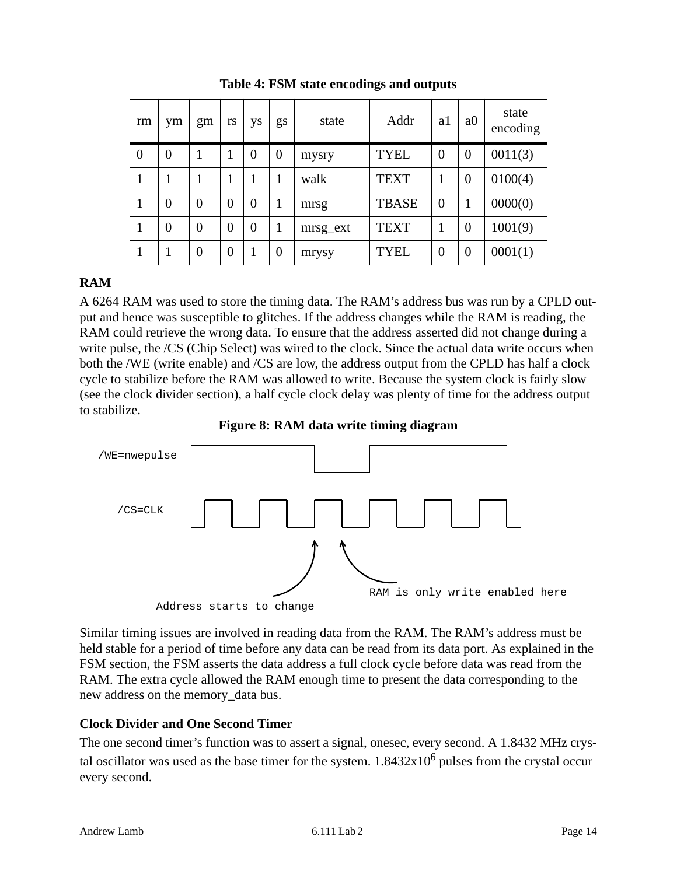| rm             | ym             | gm             | rs             | ys             | gs             | state    | Addr         | a1             | a <sub>0</sub> | state<br>encoding |
|----------------|----------------|----------------|----------------|----------------|----------------|----------|--------------|----------------|----------------|-------------------|
| $\overline{0}$ | $\overline{0}$ | 1              | 1              | $\overline{0}$ | $\overline{0}$ | mysry    | <b>TYEL</b>  | $\overline{0}$ | $\overline{0}$ | 0011(3)           |
|                | 1              | 1              |                | 1              |                | walk     | <b>TEXT</b>  |                | $\overline{0}$ | 0100(4)           |
|                | $\overline{0}$ | $\overline{0}$ | $\overline{0}$ | $\overline{0}$ |                | mrsg     | <b>TBASE</b> | $\overline{0}$ |                | 0000(0)           |
|                | $\overline{0}$ | $\overline{0}$ | $\overline{0}$ | $\overline{0}$ |                | mrsg_ext | <b>TEXT</b>  |                | $\theta$       | 1001(9)           |
|                | 1              | $\overline{0}$ | $\overline{0}$ | 1              | $\overline{0}$ | mrysy    | <b>TYEL</b>  | $\theta$       | $\overline{0}$ | 0001(1)           |

**Table 4: FSM state encodings and outputs**

## <span id="page-13-0"></span>**RAM**

A 6264 RAM was used to store the timing data. The RAM's address bus was run by a CPLD output and hence was susceptible to glitches. If the address changes while the RAM is reading, the RAM could retrieve the wrong data. To ensure that the address asserted did not change during a write pulse, the /CS (Chip Select) was wired to the clock. Since the actual data write occurs when both the /WE (write enable) and /CS are low, the address output from the CPLD has half a clock cycle to stabilize before the RAM was allowed to write. Because the system clock is fairly slow (see the clock divider section), a half cycle clock delay was plenty of time for the address output to stabilize.

**Figure 8: RAM data write timing diagram**

<span id="page-13-2"></span>

Similar timing issues are involved in reading data from the RAM. The RAM's address must be held stable for a period of time before any data can be read from its data port. As explained in the FSM section, the FSM asserts the data address a full clock cycle before data was read from the RAM. The extra cycle allowed the RAM enough time to present the data corresponding to the new address on the memory\_data bus.

## <span id="page-13-1"></span>**Clock Divider and One Second Timer**

The one second timer's function was to assert a signal, onesec, every second. A 1.8432 MHz crystal oscillator was used as the base timer for the system.  $1.8432x10^6$  pulses from the crystal occur every second.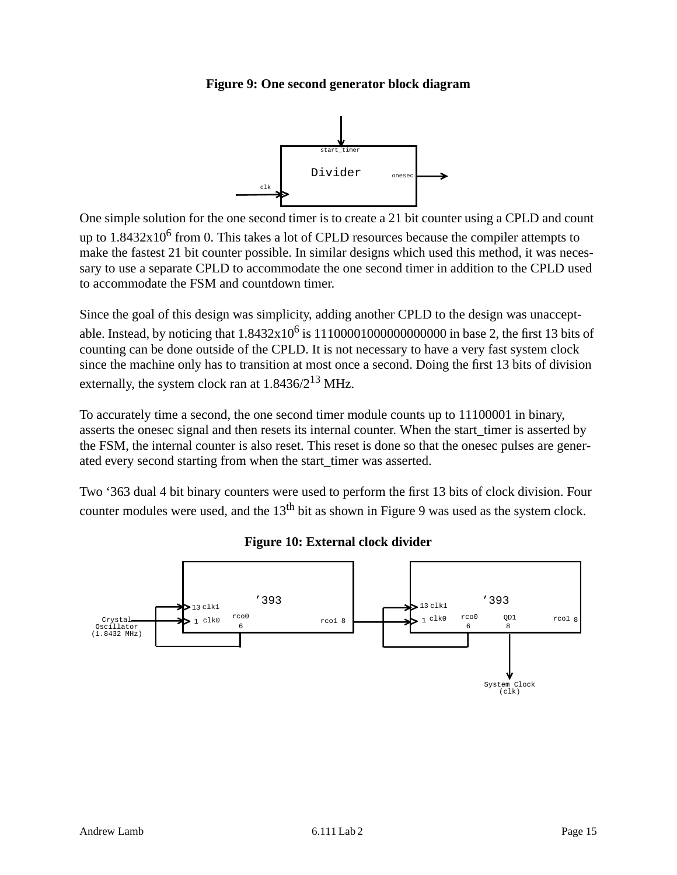### <span id="page-14-0"></span>**Figure 9: One second generator block diagram**



One simple solution for the one second timer is to create a 21 bit counter using a CPLD and count up to  $1.8432x10^6$  from 0. This takes a lot of CPLD resources because the compiler attempts to make the fastest 21 bit counter possible. In similar designs which used this method, it was necessary to use a separate CPLD to accommodate the one second timer in addition to the CPLD used to accommodate the FSM and countdown timer.

Since the goal of this design was simplicity, adding another CPLD to the design was unacceptable. Instead, by noticing that  $1.8432x10^6$  is  $1110000100000000000$  in base 2, the first 13 bits of counting can be done outside of the CPLD. It is not necessary to have a very fast system clock since the machine only has to transition at most once a second. Doing the first 13 bits of division externally, the system clock ran at  $1.8436/2^{13}$  MHz.

To accurately time a second, the one second timer module counts up to 11100001 in binary, asserts the onesec signal and then resets its internal counter. When the start\_timer is asserted by the FSM, the internal counter is also reset. This reset is done so that the onesec pulses are generated every second starting from when the start\_timer was asserted.

Two '363 dual 4 bit binary counters were used to perform the first 13 bits of clock division. Four counter modules were used, and the  $13<sup>th</sup>$  bit as shown in Figure 9 was used as the system clock.

<span id="page-14-1"></span>

**Figure 10: External clock divider**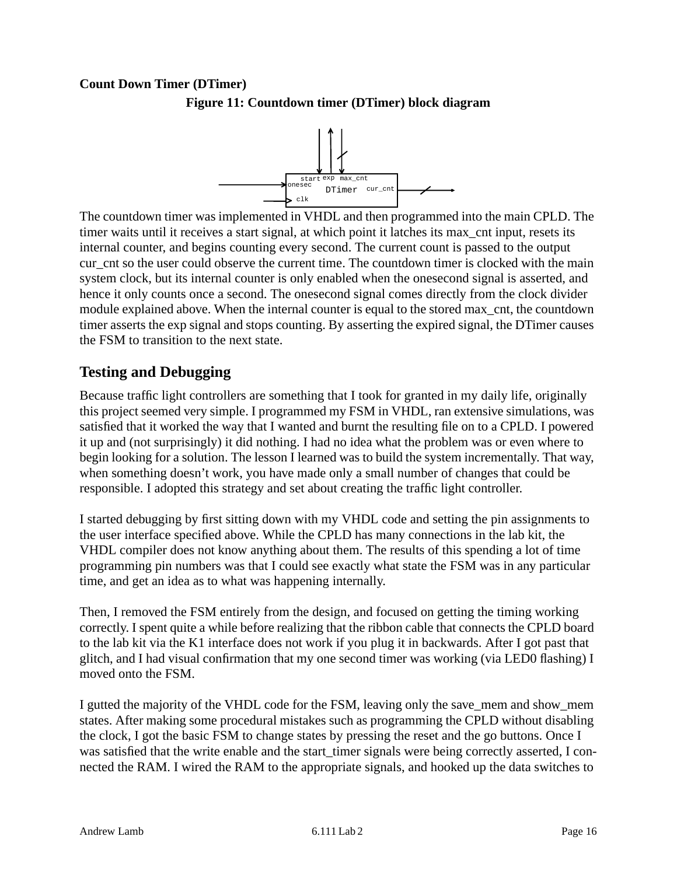#### <span id="page-15-2"></span><span id="page-15-0"></span>**Count Down Timer (DTimer)**



**Figure 11: Countdown timer (DTimer) block diagram**

The countdown timer was implemented in VHDL and then programmed into the main CPLD. The timer waits until it receives a start signal, at which point it latches its max\_cnt input, resets its internal counter, and begins counting every second. The current count is passed to the output cur cnt so the user could observe the current time. The countdown timer is clocked with the main system clock, but its internal counter is only enabled when the onesecond signal is asserted, and hence it only counts once a second. The onesecond signal comes directly from the clock divider module explained above. When the internal counter is equal to the stored max\_cnt, the countdown timer asserts the exp signal and stops counting. By asserting the expired signal, the DTimer causes the FSM to transition to the next state.

## <span id="page-15-1"></span>**Testing and Debugging**

Because traffic light controllers are something that I took for granted in my daily life, originally this project seemed very simple. I programmed my FSM in VHDL, ran extensive simulations, was satisfied that it worked the way that I wanted and burnt the resulting file on to a CPLD. I powered it up and (not surprisingly) it did nothing. I had no idea what the problem was or even where to begin looking for a solution. The lesson I learned was to build the system incrementally. That way, when something doesn't work, you have made only a small number of changes that could be responsible. I adopted this strategy and set about creating the traffic light controller.

I started debugging by first sitting down with my VHDL code and setting the pin assignments to the user interface specified above. While the CPLD has many connections in the lab kit, the VHDL compiler does not know anything about them. The results of this spending a lot of time programming pin numbers was that I could see exactly what state the FSM was in any particular time, and get an idea as to what was happening internally.

Then, I removed the FSM entirely from the design, and focused on getting the timing working correctly. I spent quite a while before realizing that the ribbon cable that connects the CPLD board to the lab kit via the K1 interface does not work if you plug it in backwards. After I got past that glitch, and I had visual confirmation that my one second timer was working (via LED0 flashing) I moved onto the FSM.

I gutted the majority of the VHDL code for the FSM, leaving only the save\_mem and show\_mem states. After making some procedural mistakes such as programming the CPLD without disabling the clock, I got the basic FSM to change states by pressing the reset and the go buttons. Once I was satisfied that the write enable and the start timer signals were being correctly asserted, I connected the RAM. I wired the RAM to the appropriate signals, and hooked up the data switches to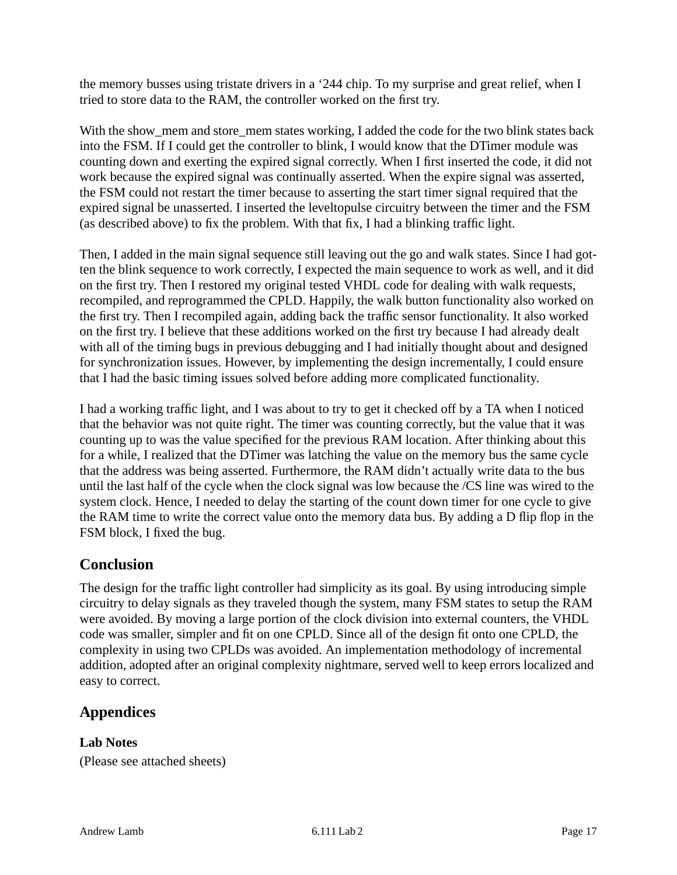the memory busses using tristate drivers in a '244 chip. To my surprise and great relief, when I tried to store data to the RAM, the controller worked on the first try.

With the show\_mem and store\_mem states working, I added the code for the two blink states back into the FSM. If I could get the controller to blink, I would know that the DTimer module was counting down and exerting the expired signal correctly. When I first inserted the code, it did not work because the expired signal was continually asserted. When the expire signal was asserted, the FSM could not restart the timer because to asserting the start timer signal required that the expired signal be unasserted. I inserted the leveltopulse circuitry between the timer and the FSM (as described above) to fix the problem. With that fix, I had a blinking traffic light.

Then, I added in the main signal sequence still leaving out the go and walk states. Since I had gotten the blink sequence to work correctly, I expected the main sequence to work as well, and it did on the first try. Then I restored my original tested VHDL code for dealing with walk requests, recompiled, and reprogrammed the CPLD. Happily, the walk button functionality also worked on the first try. Then I recompiled again, adding back the traffic sensor functionality. It also worked on the first try. I believe that these additions worked on the first try because I had already dealt with all of the timing bugs in previous debugging and I had initially thought about and designed for synchronization issues. However, by implementing the design incrementally, I could ensure that I had the basic timing issues solved before adding more complicated functionality.

I had a working traffic light, and I was about to try to get it checked off by a TA when I noticed that the behavior was not quite right. The timer was counting correctly, but the value that it was counting up to was the value specified for the previous RAM location. After thinking about this for a while, I realized that the DTimer was latching the value on the memory bus the same cycle that the address was being asserted. Furthermore, the RAM didn't actually write data to the bus until the last half of the cycle when the clock signal was low because the /CS line was wired to the system clock. Hence, I needed to delay the starting of the count down timer for one cycle to give the RAM time to write the correct value onto the memory data bus. By adding a D flip flop in the FSM block, I fixed the bug.

## <span id="page-16-0"></span>**Conclusion**

The design for the traffic light controller had simplicity as its goal. By using introducing simple circuitry to delay signals as they traveled though the system, many FSM states to setup the RAM were avoided. By moving a large portion of the clock division into external counters, the VHDL code was smaller, simpler and fit on one CPLD. Since all of the design fit onto one CPLD, the complexity in using two CPLDs was avoided. An implementation methodology of incremental addition, adopted after an original complexity nightmare, served well to keep errors localized and easy to correct.

## <span id="page-16-1"></span>**Appendices**

## <span id="page-16-2"></span>**Lab Notes**

(Please see attached sheets)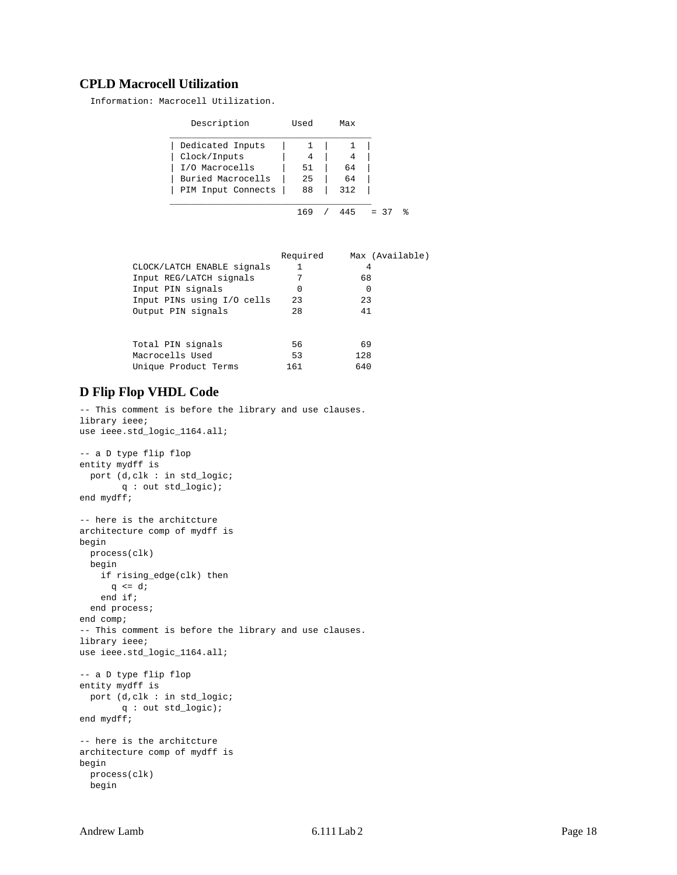#### <span id="page-17-0"></span>**CPLD Macrocell Utilization**

Information: Macrocell Utilization.

| Description        | Used | Max |        |   |
|--------------------|------|-----|--------|---|
| Dedicated Inputs   |      |     |        |   |
| Clock/Inputs       | 4    | 4   |        |   |
| I/O Macrocells     | 51   | 64  |        |   |
| Buried Macrocells  | 25   | 64  |        |   |
| PIM Input Connects | 88   | 312 |        |   |
|                    |      |     |        |   |
|                    | 169  | 445 | $= 37$ | ႜ |

|                            | Required | Max (Available) |
|----------------------------|----------|-----------------|
| CLOCK/LATCH ENABLE signals |          | 4               |
| Input REG/LATCH signals    |          | 68              |
| Input PIN signals          | 0        | 0               |
| Input PINs using I/O cells | 23       | 23              |
| Output PIN signals         | 28       | 41              |
|                            |          |                 |
| Total PIN signals          | 56       | 69              |
| Macrocells Used            | 53       | 128             |
| Unique Product Terms       | 161      | 640             |
|                            |          |                 |

#### <span id="page-17-1"></span>**D Flip Flop VHDL Code**

-- This comment is before the library and use clauses. library ieee; use ieee.std\_logic\_1164.all;

```
-- a D type flip flop
entity mydff is
  port (d,clk : in std_logic;
        q : out std_logic);
end mydff;
-- here is the architcture
architecture comp of mydff is
begin
  process(clk)
  begin
    if rising_edge(clk) then
     q \leq d;
     end if;
  end process;
end comp;
-- This comment is before the library and use clauses.
library ieee;
use ieee.std_logic_1164.all;
-- a D type flip flop
entity mydff is
  port (d,clk : in std_logic;
       q : out std_logic);
end mydff;
-- here is the architcture
architecture comp of mydff is
begin
  process(clk)
  begin
```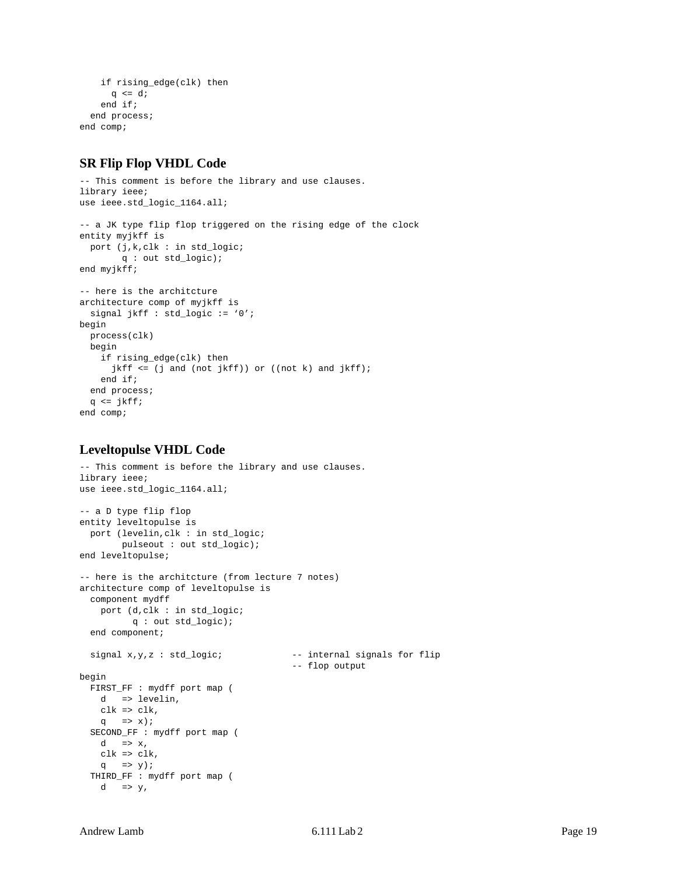```
 if rising_edge(clk) then
      q \leq d;
     end if;
   end process;
end comp;
```
#### <span id="page-18-0"></span>**SR Flip Flop VHDL Code**

```
-- This comment is before the library and use clauses.
library ieee;
use ieee.std_logic_1164.all;
-- a JK type flip flop triggered on the rising edge of the clock
entity myjkff is
  port (j,k,clk : in std_logic;
        q : out std_logic);
end myjkff;
-- here is the architcture
architecture comp of myjkff is
  signal jkff : std_logic := '0';
begin
  process(clk)
  begin
     if rising_edge(clk) then
      jkff <= (j and (not jkff)) or ((not k) and jkff);
     end if;
   end process;
 q <= jkff;end comp;
```
#### <span id="page-18-1"></span>**Leveltopulse VHDL Code**

```
-- This comment is before the library and use clauses.
library ieee;
use ieee.std_logic_1164.all;
-- a D type flip flop
entity leveltopulse is
  port (levelin,clk : in std_logic;
        pulseout : out std_logic);
end leveltopulse;
-- here is the architcture (from lecture 7 notes)
architecture comp of leveltopulse is
   component mydff
    port (d,clk : in std_logic;
          q : out std_logic);
  end component;
  signal x,y,z : std_logic; --- internal signals for flip
                                          -- flop output
begin
  FIRST_FF : mydff port map (
    d => levelin,
   clk \Rightarrow clk,q => x);
   SECOND_FF : mydff port map (
   d \Rightarrow x, clk => clk,
   q => y);
  THIRD FF : mydff port map (
   d \Rightarrow y,
```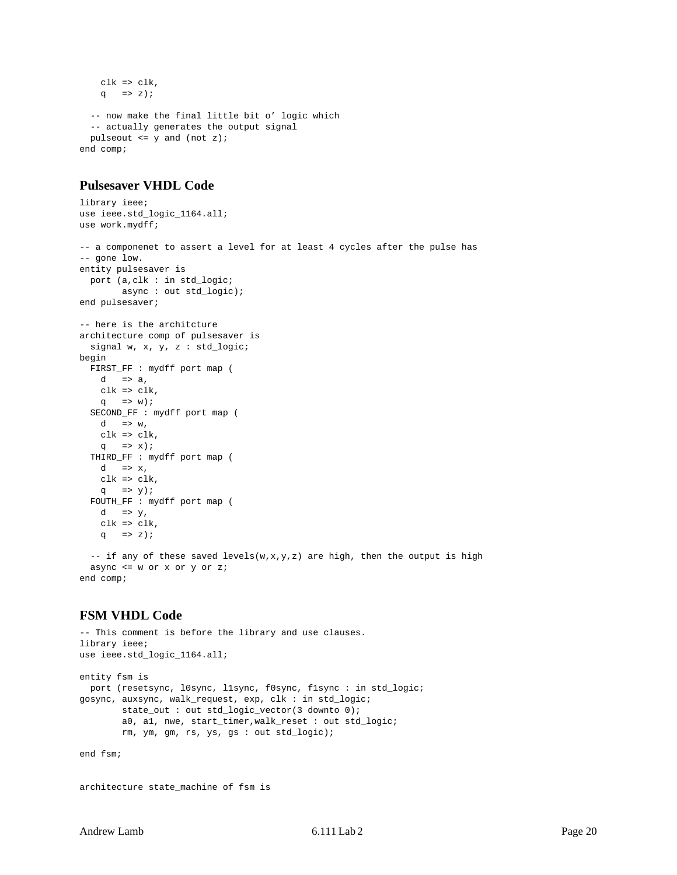```
 clk => clk,
    q \implies z);
   -- now make the final little bit o' logic which
   -- actually generates the output signal
  pulseout <= y and (not z);
end comp;
```
#### <span id="page-19-0"></span>**Pulsesaver VHDL Code**

```
library ieee;
use ieee.std_logic_1164.all;
use work.mydff;
-- a componenet to assert a level for at least 4 cycles after the pulse has
-- gone low.
entity pulsesaver is
  port (a,clk : in std_logic;
        async : out std_logic);
end pulsesaver;
-- here is the architcture
architecture comp of pulsesaver is
  signal w, x, y, z : std_logic;
begin
  FIRST_FF : mydff port map (
   d \Rightarrow a,
   clk \Rightarrow clk,q => w);
   SECOND_FF : mydff port map (
   d \Rightarrow w,clk \Rightarrow clk,q => x);
   THIRD_FF : mydff port map (
   d => x, clk => clk,
   q => y);
   FOUTH_FF : mydff port map (
    d \Rightarrow y,
     clk => clk,
    q => z);
  -- if any of these saved levels(w, x, y, z) are high, then the output is high
   async <= w or x or y or z;
```
<span id="page-19-1"></span>**FSM VHDL Code**

end comp;

```
-- This comment is before the library and use clauses.
library ieee;
use ieee.std_logic_1164.all;
entity fsm is
  port (resetsync, l0sync, l1sync, f0sync, f1sync : in std_logic;
gosync, auxsync, walk_request, exp, clk : in std_logic;
         state_out : out std_logic_vector(3 downto 0);
         a0, a1, nwe, start_timer,walk_reset : out std_logic;
         rm, ym, gm, rs, ys, gs : out std_logic);
```
end fsm;

architecture state\_machine of fsm is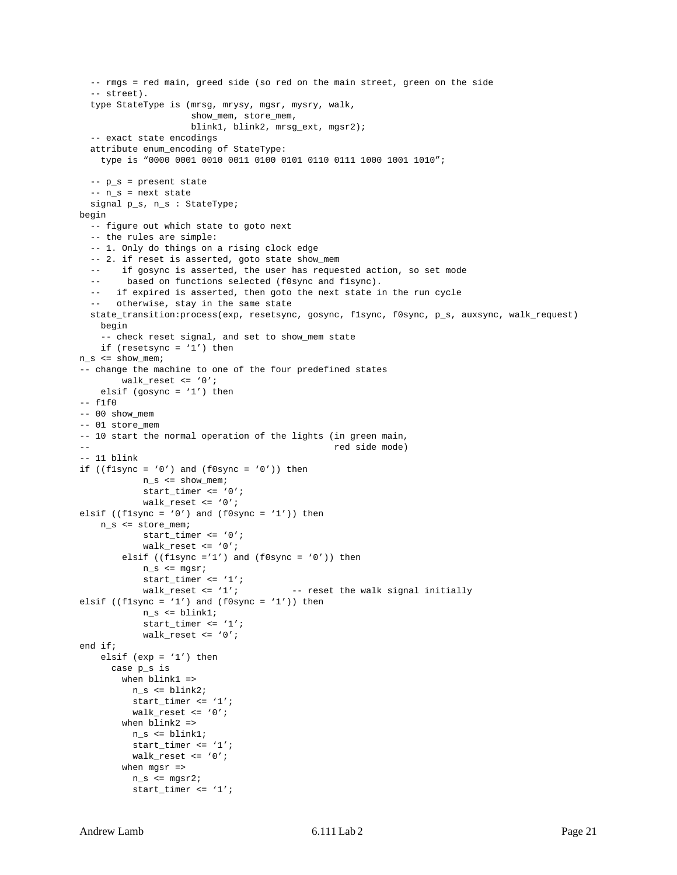```
 -- rmgs = red main, greed side (so red on the main street, green on the side
   -- street).
   type StateType is (mrsg, mrysy, mgsr, mysry, walk,
                      show_mem, store_mem,
                      blink1, blink2, mrsg_ext, mgsr2);
   -- exact state encodings
   attribute enum_encoding of StateType:
    type is "0000 0001 0010 0011 0100 0101 0110 0111 1000 1001 1010";
   -- p_s = present state
  -- n s = next state
   signal p_s, n_s : StateType;
begin
   -- figure out which state to goto next
   -- the rules are simple:
   -- 1. Only do things on a rising clock edge
   -- 2. if reset is asserted, goto state show_mem
   -- if gosync is asserted, the user has requested action, so set mode
   -- based on functions selected (f0sync and f1sync).
   -- if expired is asserted, then goto the next state in the run cycle
      otherwise, stay in the same state
   state_transition:process(exp, resetsync, gosync, f1sync, f0sync, p_s, auxsync, walk_request)
    begin
     -- check reset signal, and set to show_mem state
    if (resetsync = '1') then
n_s <= show_mem;
-- change the machine to one of the four predefined states
         walk_reset <= '0';
   elsif (gosync = '1') then
-- f1f0
-- 00 show_mem
-- 01 store_mem
-- 10 start the normal operation of the lights (in green main,
-- red side mode)
-- 11 blink
if ((f1sync = '0') and (f0sync = '0')) then
            n_s <= show_mem;
            start timer \leq '0';
             walk_reset <= '0';
elsif ((flsync = '0') and (f0sync = '1')) then
   n s <= store mem;
             start_timer <= '0';
             walk_reset <= '0';
        elsif ((flsync ='1') and (f0sync = '0')) then
             n_s <= mgsr;
             start_timer <= '1';
           walk_reset <= '1'; -- reset the walk signal initially
elsif ((f1sync = '1') and (f0sync = '1')) then
             n_s <= blink1;
             start_timer <= '1';
             walk_reset <= '0';
end if;
   elsif (exp = '1') then
      case p_s is
        when blink1 =>
          n_s <= blink2;
          start_timer <= '1';
           walk_reset <= '0';
        when blink2 = n_s <= blink1;
          start_timer <= '1';
         walk reset \leq '0';
        when mgsr =>
           n_s <= mgsr2;
           start_timer <= '1';
```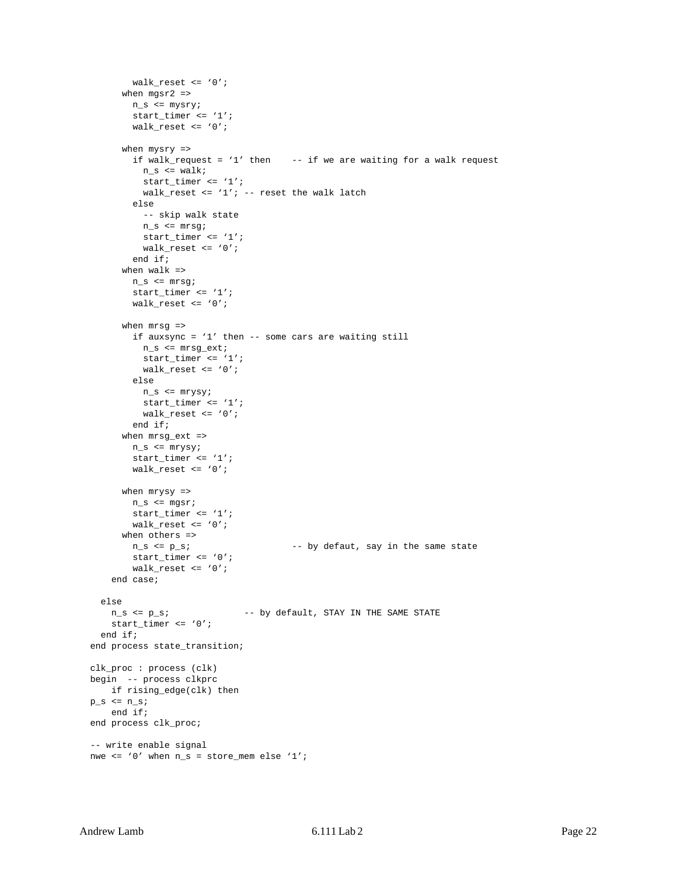```
 walk_reset <= '0';
      when mgsr2 =>
         n_s <= mysry;
         start_timer <= '1';
         walk_reset <= '0';
       when mysry =>
        if walk_request = '1' then - - if we are waiting for a walk request
          n_s \leq walk start_timer <= '1';
          walk reset <= '1'; -- reset the walk latch
         else
           -- skip walk state
          n_s <= mrsg;
           start_timer <= '1';
          walk_reset <= '0';
         end if;
       when walk =>
        n_s <= mrsg;
         start_timer <= '1';
        walk_reset \leq '0';
      when mrsg =>
         if auxsync = '1' then -- some cars are waiting still
          n_s <= mrsg_ext;
           start_timer <= '1';
           walk_reset <= '0';
         else
          n_s <= mrysy;
           start_timer <= '1';
           walk_reset <= '0';
         end if;
       when mrsg_ext =>
        n_s <= mrysy;
       start timer \leq '1';
         walk_reset <= '0';
       when mrysy =>
        n_s <= mgsr;
         start_timer <= '1';
         walk_reset <= '0';
       when others =>
       n_s \le p_s; -- by defaut, say in the same state
       start timer \leq '0';
        walk_reset <= '0';
     end case;
   else
   n_s <= p_s; \longrightarrow \sim by default, STAY IN THE SAME STATE
     start_timer <= '0';
   end if;
 end process state_transition;
 clk_proc : process (clk)
 begin -- process clkprc
    if rising_edge(clk) then
p_s \leq n_s; end if;
 end process clk_proc;
 -- write enable signal
nwe <= '0' when n_s = store_mem else '1';
```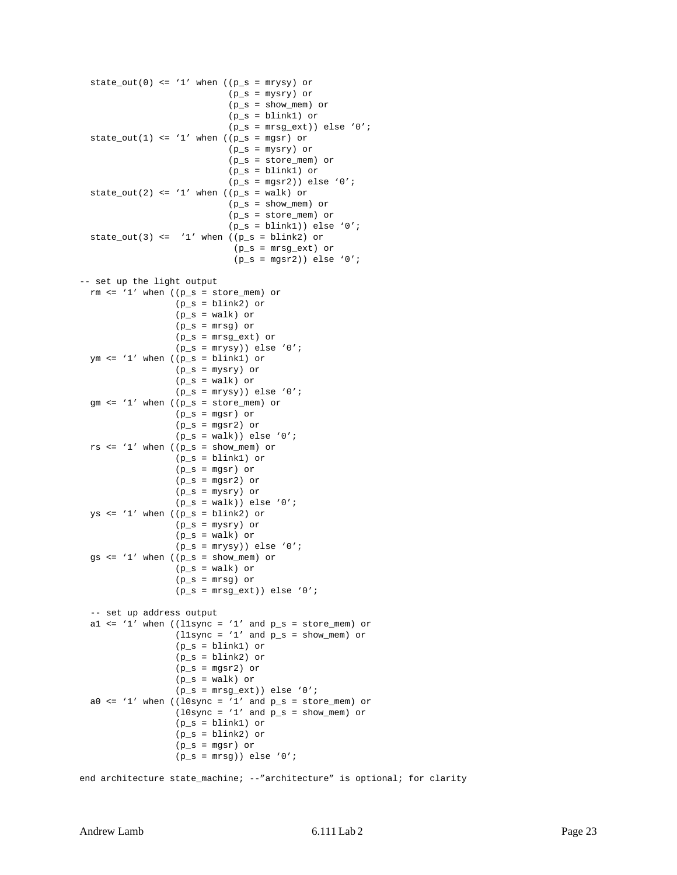```
state_out(0) <= '1' when ((p_s = mrysy) or
                               (p_s = mysry) or
                               (p_s = show_mem) or
                               (p_s = blink1) or
                              (p_s = mrsg_{ext})) else '0';
  state_out(1) <= '1' when ((p_s = mgsr) or
                              (p_s = mysry) or
                               (p_s = store_mem) or
                               (p_s = blink1) or
                              (p_s = mgsr2)) else '0';
  state_out(2) <= '1' when ((p_s = walk) or
                               (p_s = show_mem) or
                               (p_s = store_mem) or
                              (p_s = \text{blink1})) else '0';
  state_out(3) <= '1' when ((p_s = blink2) or
                               (p_s = mrsg_ext) or
                               (p_s = mgsr2)) else '0';
-- set up the light output
 rm \leq '1' when ((p_s = store_mean) or
                    (p_s = blink2) or
                   (p_s = walk) or
                   (p_s = mrsg) or
                    (p_s = mrsg_ext) or
                   (p_s = mrysy)) else '0';
 ym \leq '1' when ((p_s = \text{blink1}) or
                    (p_s = mysry) or
                    (p_s = walk) or
                   (p_s = mrysy)) else '0';
   gm <= '1' when ((p_s = store_mem) or
                    (p_s = mgsr) or
                   (p_s = mgsr2) or
                   (p_s = walk)) else '0';
  rs \leq '1' when ((p_s = show\_mem) or
                   (p s =  \text{blink1}) or
                    (p_s = mgsr) or
                   (p_s = mgsr2) or
                    (p_s = mysry) or
                   (p_s = walk)) else '0';
  ys \leq '1' when ((p_s = \text{blink2}) or
                    (p_s = mysry) or
                   (p_s = walk) or
                   (p_s = mrysy)) else '0';
   gs <= '1' when ((p_s = show_mem) or
                   (p_s = walk) or
                    (p_s = mrsg) or
                   (p_s = mrsg_{ext})) else '0';
   -- set up address output
  al \leq '1' when ((llsync = '1' and p_s = store_mem) or
                   (l1sync = '1' and p\_s = show_mem) or
                    (p_s = blink1) or
                   (p_s = \text{blink2}) or
                   (p_s = mgsr2) or
                   (p_s = walk) or
                   (p_s = mrsg_{ext})) else '0';
  a0 \le '1' when ((l0sync = '1' and p_s = store_mem) or
                   (10sync = '1' and p_s = show_mem) or
                   (p_s = \text{blink1}) or
                   (p_s = blink2) or
                    (p_s = mgsr) or
                   (p_s = mrsg)) else '0';
end architecture state_machine; --"architecture" is optional; for clarity
```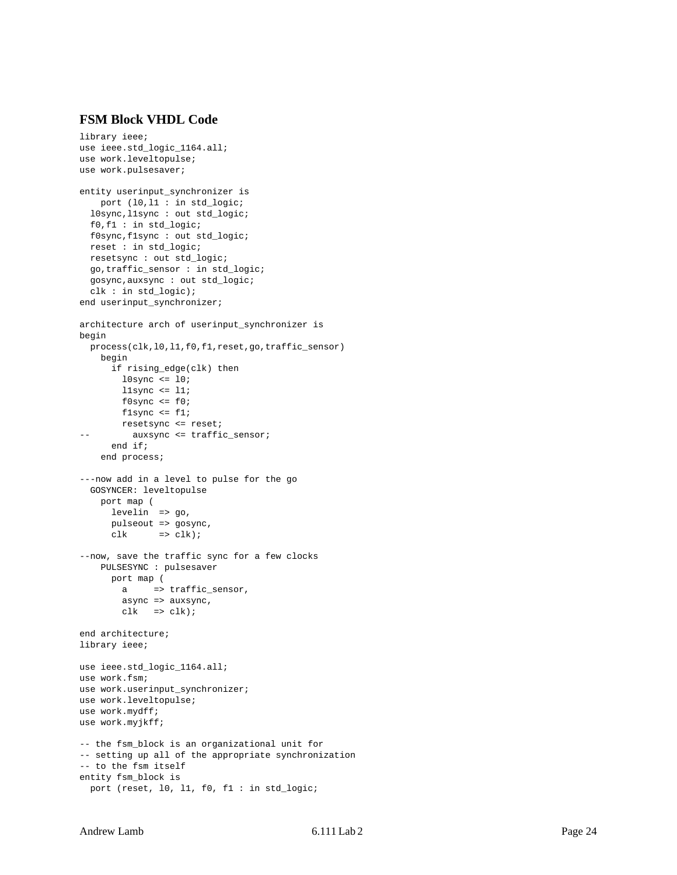#### <span id="page-23-0"></span>**FSM Block VHDL Code**

```
library ieee;
use ieee.std_logic_1164.all;
use work.leveltopulse;
use work.pulsesaver;
entity userinput_synchronizer is
     port (l0,l1 : in std_logic;
   l0sync,l1sync : out std_logic;
   f0,f1 : in std_logic;
   f0sync,f1sync : out std_logic;
   reset : in std_logic;
  resetsync : out std_logic;
  go,traffic_sensor : in std_logic;
   gosync,auxsync : out std_logic;
   clk : in std_logic);
end userinput_synchronizer;
architecture arch of userinput_synchronizer is
begin
   process(clk,l0,l1,f0,f1,reset,go,traffic_sensor)
     begin
       if rising_edge(clk) then
       l0sync <= l0;
        l1sync \le 11;
        f0sync \le f0;
        f1sync <= f1;
        resetsync <= reset;
-- auxsync <= traffic sensor;
       end if;
     end process;
---now add in a level to pulse for the go
  GOSYNCER: leveltopulse
     port map (
       levelin => go,
       pulseout => gosync,
      clk => clk);
--now, save the traffic sync for a few clocks
     PULSESYNC : pulsesaver
       port map (
        a => traffic_sensor,
         async => auxsync,
        clk => clk);
end architecture;
library ieee;
use ieee.std_logic_1164.all;
use work.fsm;
use work.userinput_synchronizer;
use work.leveltopulse;
use work.mydff;
use work.myjkff;
-- the fsm_block is an organizational unit for
-- setting up all of the appropriate synchronization
-- to the fsm itself
entity fsm_block is
  port (reset, l0, l1, f0, f1 : in std_logic;
```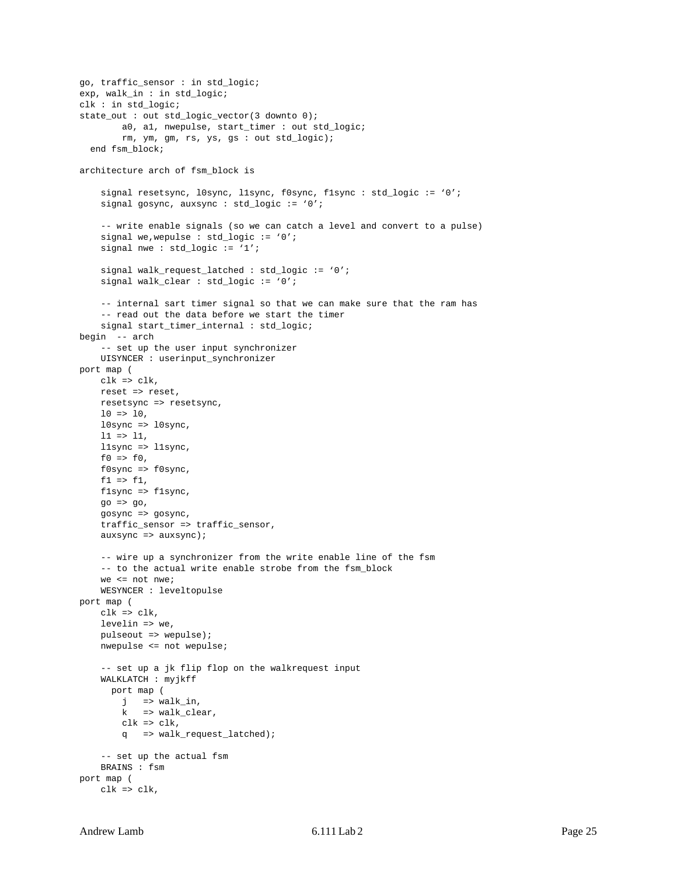```
go, traffic_sensor : in std_logic;
exp, walk in : in std logic;
clk : in std_logic;
state_out : out std_logic_vector(3 downto 0);
         a0, a1, nwepulse, start_timer : out std_logic;
         rm, ym, gm, rs, ys, gs : out std_logic);
  end fsm_block;
architecture arch of fsm_block is
     signal resetsync, l0sync, l1sync, f0sync, f1sync : std_logic := '0';
    signal gosync, auxsync : std_logic := '0';
     -- write enable signals (so we can catch a level and convert to a pulse)
   signal we, wepulse : std_logic := '0';
     signal nwe : std_logic := '1';
    signal walk_request_latched : std_logic := '0';
    signal walk_clear : std_logic := '0';
     -- internal sart timer signal so that we can make sure that the ram has
     -- read out the data before we start the timer
     signal start_timer_internal : std_logic;
begin -- arch
     -- set up the user input synchronizer
    UISYNCER : userinput_synchronizer
port map (
    clk => clk,
    reset => reset,
    resetsync => resetsync,
    10 \Rightarrow 10,l0sync => l0sync,
   11 \Rightarrow 11, l1sync => l1sync,
   f0 \implies f0,
    f0sync => f0sync,
   f1 => f1,
    f1sync => f1sync,
   qo \Rightarrow qo,
    gosync => gosync,
    traffic_sensor => traffic_sensor,
     auxsync => auxsync);
     -- wire up a synchronizer from the write enable line of the fsm
     -- to the actual write enable strobe from the fsm_block
    we <= not nwe;
    WESYNCER : leveltopulse
port map (
    clk => clk,
    levelin => we,
    pulseout => wepulse);
    nwepulse <= not wepulse;
     -- set up a jk flip flop on the walkrequest input
     WALKLATCH : myjkff
       port map (
        j => walk_in, k => walk_clear,
        clk \Rightarrow clk, q => walk_request_latched);
     -- set up the actual fsm
    BRAINS : fsm
port map (
    clk => clk,
```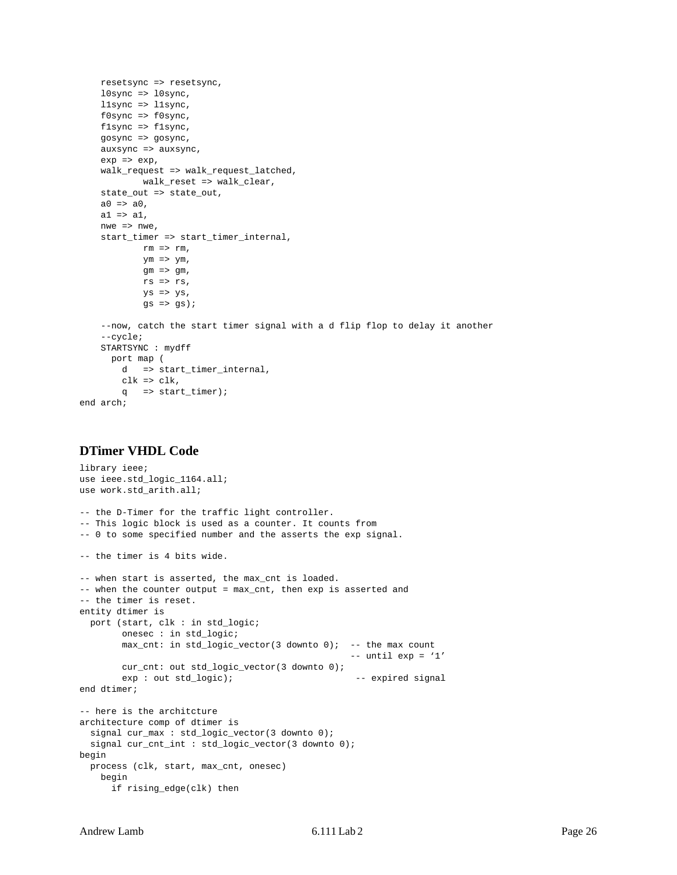```
 resetsync => resetsync,
    l0sync => l0sync,
     l1sync => l1sync,
     f0sync => f0sync,
     f1sync => f1sync,
     gosync => gosync,
    auxsync \Rightarrow auxsync,
    exp = > exp, walk_request => walk_request_latched,
              walk_reset => walk_clear,
    state out => state out,
    a0 \Rightarrow a0,a1 \Rightarrow a1, nwe => nwe,
     start_timer => start_timer_internal,
             rm => rm,ym \Rightarrow ym,
             gm \Rightarrow gm,
             rs \Rightarrow rs,ys => ys,
              gs => gs);
     --now, catch the start timer signal with a d flip flop to delay it another
     --cycle;
     STARTSYNC : mydff
       port map (
         d => start_timer_internal,
         clk => clk,
         q => start_timer);
end arch;
```
#### <span id="page-25-0"></span>**DTimer VHDL Code**

```
library ieee;
use ieee.std_logic_1164.all;
use work.std_arith.all;
-- the D-Timer for the traffic light controller.
-- This logic block is used as a counter. It counts from
-- 0 to some specified number and the asserts the exp signal.
-- the timer is 4 bits wide.
-- when start is asserted, the max_cnt is loaded.
-- when the counter output = max_cnt, then exp is asserted and
-- the timer is reset.
entity dtimer is
  port (start, clk : in std_logic;
        onesec : in std_logic;
        max_cnt: in std_logic_vector(3 downto 0); -- the max count
                                                  -- until exp = '1' cur_cnt: out std_logic_vector(3 downto 0);
       exp : out std_logic); - expired signal
end dtimer;
-- here is the architcture
architecture comp of dtimer is
  signal cur_max : std_logic_vector(3 downto 0);
  signal cur_cnt_int : std_logic_vector(3 downto 0);
begin
  process (clk, start, max_cnt, onesec)
    begin
      if rising_edge(clk) then
```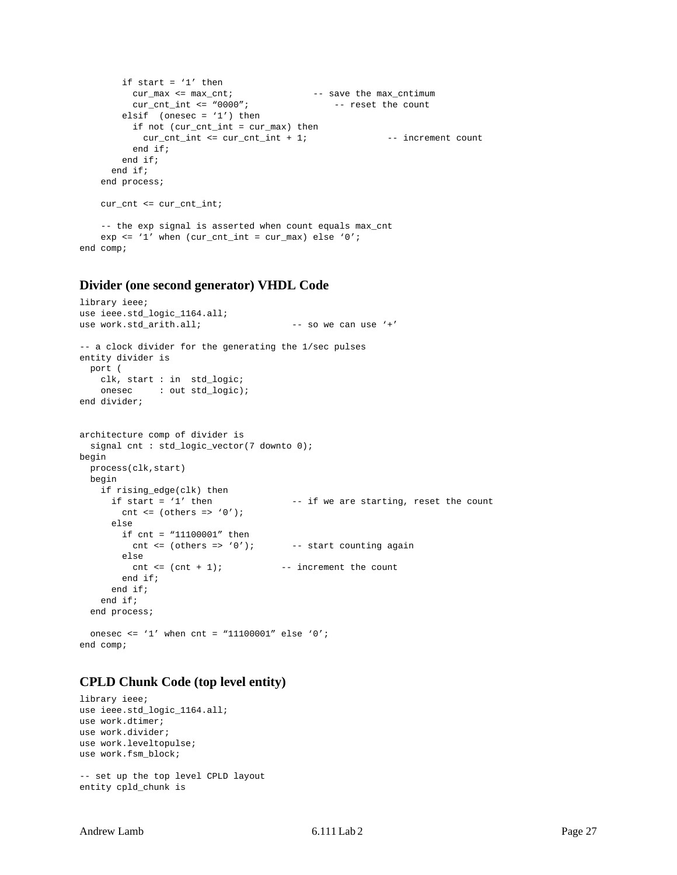```
if start = '1' then
        cur max \leq max cnt; \leq -- save the max cntimum
        cur\_cnt\_int \leq "0000"; -- reset the count
       elsif (onesec = '1') then
         if not (cur_cnt_int = cur_max) then
          cur\_cnt_i <= cur\_cnt_i + 1; - increment count
         end if;
        end if;
      end if;
    end process;
    cur_cnt <= cur_cnt_int;
    -- the exp signal is asserted when count equals max_cnt
   exp <= '1' when cur\_cnt\_int = cur\_max) else '0';
end comp;
```
#### <span id="page-26-0"></span>**Divider (one second generator) VHDL Code**

```
library ieee;
use ieee.std_logic_1164.all;
use work.std_arith.all; - so we can use '+'
-- a clock divider for the generating the 1/sec pulses
entity divider is
  port (
    clk, start : in std_logic;
   onesec : out std_logic);
end divider;
architecture comp of divider is
 signal cnt : std_logic_vector(7 downto 0);
begin
  process(clk,start)
  begin
    if rising_edge(clk) then
     if start = '1' then - if we are starting, reset the count
       cnt \leq (others \Rightarrow '0');
      else
        if cnt = "11100001" then
         cnt \leq (others => '0'); -- start counting again
        else
         \text{cnt} \leq (\text{cnt} + 1); -- increment the count
        end if;
      end if;
     end if;
   end process;
  onesec <= '1' when cnt = "11100001" else '0';
end comp;
```
#### <span id="page-26-1"></span>**CPLD Chunk Code (top level entity)**

```
library ieee;
use ieee.std_logic_1164.all;
use work.dtimer;
use work.divider;
use work.leveltopulse;
use work.fsm_block;
-- set up the top level CPLD layout
```
entity cpld\_chunk is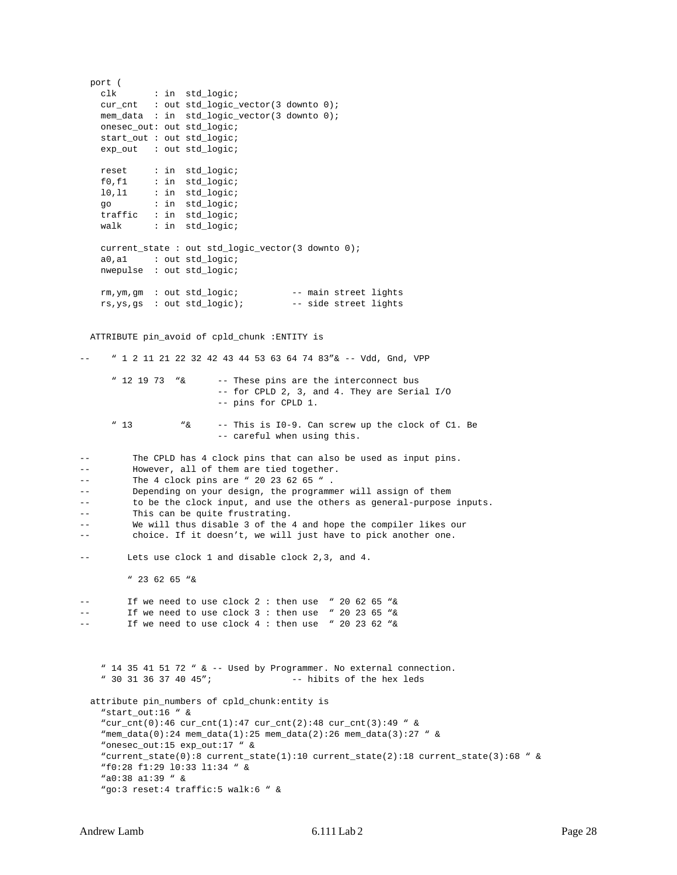port ( clk : in std\_logic; cur\_cnt : out std\_logic\_vector(3 downto 0); mem\_data : in std\_logic\_vector(3 downto 0); onesec\_out: out std\_logic; start\_out : out std\_logic; exp\_out : out std\_logic; reset : in std\_logic; f0,f1 : in std\_logic; l0,l1 : in std\_logic; go : in std\_logic; traffic : in std\_logic; walk : in std\_logic; current\_state : out std\_logic\_vector(3 downto 0); a0,a1 : out std\_logic; nwepulse : out std\_logic; rm,ym,gm : out std\_logic; -- main street lights rs,ys,gs : out std\_logic); -- side street lights ATTRIBUTE pin\_avoid of cpld\_chunk :ENTITY is -- " 1 2 11 21 22 32 42 43 44 53 63 64 74 83"& -- Vdd, Gnd, VPP " 12 19 73 "& -- These pins are the interconnect bus -- for CPLD 2, 3, and 4. They are Serial I/O -- pins for CPLD 1. " 13 "& -- This is I0-9. Can screw up the clock of C1. Be -- careful when using this. -- The CPLD has 4 clock pins that can also be used as input pins. -- However, all of them are tied together. -- The 4 clock pins are " 20 23 62 65 ". -- Depending on your design, the programmer will assign of them -- to be the clock input, and use the others as general-purpose inputs. -- This can be quite frustrating. -- We will thus disable 3 of the 4 and hope the compiler likes our -- choice. If it doesn't, we will just have to pick another one. -- Lets use clock 1 and disable clock 2,3, and 4. " 23 62 65 "& -- If we need to use clock 2 : then use " 20 62 65 "& -- If we need to use clock 3 : then use " 20 23 65 "& If we need to use clock  $4:$  then use " 20 23 62 "& "  $14$  35 41 51 72 "  $\& -$  Used by Programmer. No external connection. " 30 31 36 37 40 45"; -- hibits of the hex leds attribute pin\_numbers of cpld\_chunk:entity is "start\_out:16 " & "cur\_cnt(0):46 cur\_cnt(1):47 cur\_cnt(2):48 cur\_cnt(3):49 " & "mem\_data(0):24 mem\_data(1):25 mem\_data(2):26 mem\_data(3):27 " & "onesec\_out:15 exp\_out:17 " & "current\_state(0):8 current\_state(1):10 current\_state(2):18 current\_state(3):68 " & "f0:28 f1:29 l0:33 l1:34 " & "a0:38 a1:39 " & "go:3 reset:4 traffic:5 walk:6 " &